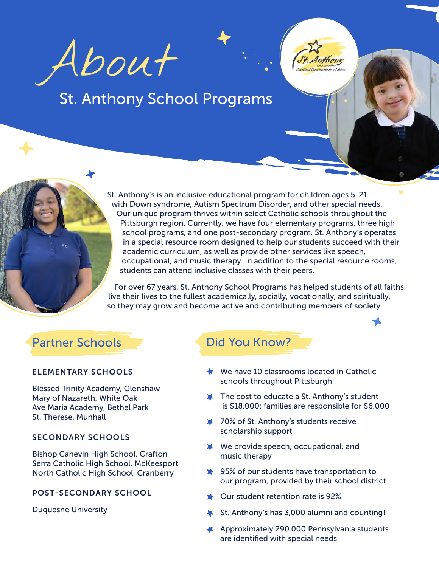About

# St. Anthony School Programs

St. Anthony's is an inclusive educational program for children ages 5-21 with Down syndrome, Autism Spectrum Disorder, and other special needs. Our unique program thrives within select Catholic schools throughout the Pittsburgh region. Currently, we have four elementary programs, three high school programs, and one post-secondary program. St. Anthony's operates in a special resource room designed to help our students succeed with their academic curriculum, as well as provide other services like speech, occupational, and music therapy. In addition to the special resource rooms, students can attend inclusive classes with their peers.

For over 67 years, St. Anthony School Programs has helped students of all faiths live their lives to the fullest academically, socially, vocationally, and spiritually, so they may grow and become active and contributing members of society.

## Partner Schools **Did You Know?**

#### ELEMENTARY SCHOOLS

Blessed Trinity Academy, Glenshaw Mary of Nazareth, White Oak Ave Maria Academy, Bethel Park St. Therese, Munhall

#### SECONDARY SCHOOLS

Bishop Canevin High School, Crafton Serra Catholic High School, McKeesport North Catholic High School, Cranberry

### POST-SECONDARY SCHOOL

Duquesne University

- $\bigstar$  We have 10 classrooms located in Catholic schools throughout Pittsburgh
- $\blacktriangleright$  The cost to educate a St. Anthony's student is \$18,000; families are responsible for \$6,000

Anthony

- 70% of St. Anthony's students receive scholarship support
- We provide speech, occupational, and music therapy
- **→ 95% of our students have transportation to** our program, provided by their school district
- $\star$  Our student retention rate is 92%
- St. Anthony's has 3,000 alumni and counting!
- Approximately 290,000 Pennsylvania students are identified with special needs